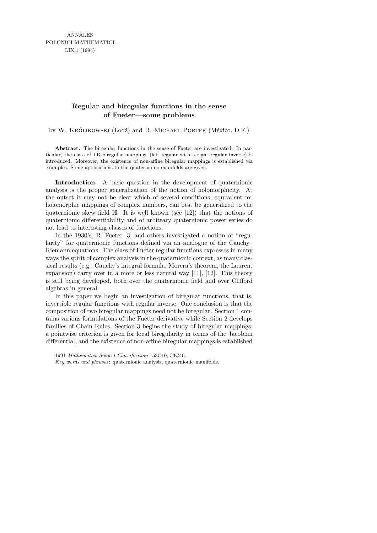ANNALES POLONICI MATHEMATICI LIX.1 (1994)

## **Regular and biregular functions in the sense of Fueter—some problems**

by W. Królikowski (Łódź) and R. Michael Porter (México, D.F.)

**Abstract.** The biregular functions in the sense of Fueter are investigated. In particular, the class of LR-biregular mappings (left regular with a right regular inverse) is introduced. Moreover, the existence of non-affine biregular mappings is established via examples. Some applications to the quaternionic manifolds are given.

Introduction. A basic question in the development of quaternionic analysis is the proper generalization of the notion of holomorphicity. At the outset it may not be clear which of several conditions, equivalent for holomorphic mappings of complex numbers, can best be generalized to the quaternionic skew field  $\mathbb{H}$ . It is well known (see [12]) that the notions of quaternionic differentiability and of arbitrary quaternionic power series do not lead to interesting classes of functions.

In the 1930's, R. Fueter [3] and others investigated a notion of "regularity" for quaternionic functions defined via an analogue of the Cauchy– Riemann equations. The class of Fueter regular functions expresses in many ways the spirit of complex analysis in the quaternionic context, as many classical results (e.g., Cauchy's integral formula, Morera's theorem, the Laurent expansion) carry over in a more or less natural way  $[11]$ ,  $[12]$ . This theory is still being developed, both over the quaternionic field and over Clifford algebras in general.

In this paper we begin an investigation of biregular functions, that is, invertible regular functions with regular inverse. One conclusion is that the composition of two biregular mappings need not be biregular. Section 1 contains various formulations of the Fueter derivative while Section 2 develops families of Chain Rules. Section 3 begins the study of biregular mappings; a pointwise criterion is given for local biregularity in terms of the Jacobian differential, and the existence of non-affine biregular mappings is established

<sup>1991</sup> *Mathematics Subject Classification*: 53C10, 53C40.

*Key words and phrases*: quaternionic analysis, quaternionic manifolds.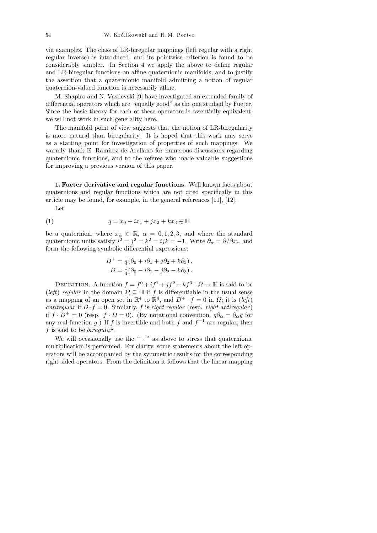via examples. The class of LR-biregular mappings (left regular with a right regular inverse) is introduced, and its pointwise criterion is found to be considerably simpler. In Section 4 we apply the above to define regular and LR-biregular functions on affine quaternionic manifolds, and to justify the assertion that a quaternionic manifold admitting a notion of regular quaternion-valued function is necessarily affine.

M. Shapiro and N. Vasilevski [9] have investigated an extended family of differential operators which are "equally good" as the one studied by Fueter. Since the basic theory for each of these operators is essentially equivalent, we will not work in such generality here.

The manifold point of view suggests that the notion of LR-biregularity is more natural than biregularity. It is hoped that this work may serve as a starting point for investigation of properties of such mappings. We warmly thank E. Ramírez de Arellano for numerous discussions regarding quaternionic functions, and to the referee who made valuable suggestions for improving a previous version of this paper.

1. Fueter derivative and regular functions. Well known facts about quaternions and regular functions which are not cited specifically in this article may be found, for example, in the general references [11], [12].

Let

(1) 
$$
q = x_0 + ix_1 + jx_2 + kx_3 \in \mathbb{H}
$$

be a quaternion, where  $x_{\alpha} \in \mathbb{R}$ ,  $\alpha = 0, 1, 2, 3$ , and where the standard quaternionic units satisfy  $i^2 = j^2 = k^2 = ijk = -1$ . Write  $\partial_{\alpha} = \partial/\partial x_{\alpha}$  and form the following symbolic differential expressions:

$$
D^{+} = \frac{1}{4}(\partial_0 + i\partial_1 + j\partial_2 + k\partial_3),
$$
  
\n
$$
D = \frac{1}{4}(\partial_0 - i\partial_1 - j\partial_2 - k\partial_3).
$$

DEFINITION. A function  $f = f^0 + if^1 + jf^2 + kf^3 : \Omega \to \mathbb{H}$  is said to be (left) regular in the domain  $\Omega \subseteq \mathbb{H}$  if f is differentiable in the usual sense as a mapping of an open set in  $\mathbb{R}^4$  to  $\mathbb{R}^4$ , and  $D^+ \cdot f = 0$  in  $\Omega$ ; it is (left) antiregular if  $D \cdot f = 0$ . Similarly, f is right regular (resp. right antiregular) if  $f \cdot D^+ = 0$  (resp.  $f \cdot D = 0$ ). (By notational convention,  $g\partial_\alpha = \partial_\alpha g$  for any real function g.) If f is invertible and both f and  $f^{-1}$  are regular, then f is said to be biregular.

We will occasionally use the " $\cdot$ " as above to stress that quaternionic multiplication is performed. For clarity, some statements about the left operators will be accompanied by the symmetric results for the corresponding right sided operators. From the definition it follows that the linear mapping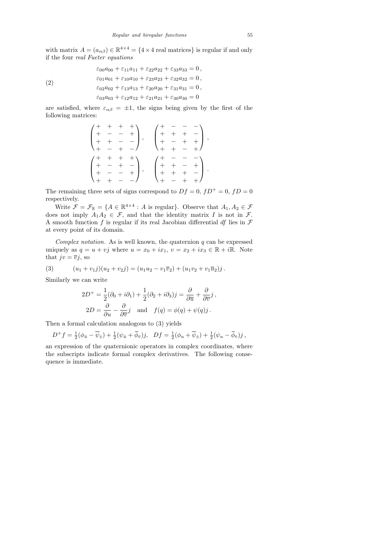with matrix  $A = (a_{\alpha\beta}) \in \mathbb{R}^{4 \times 4} = \{4 \times 4 \text{ real matrices}\}\$ is regular if and only if the four real Fueter equations

(2)  
\n
$$
\varepsilon_{00}a_{00} + \varepsilon_{11}a_{11} + \varepsilon_{22}a_{22} + \varepsilon_{33}a_{33} = 0,
$$
\n
$$
\varepsilon_{01}a_{01} + \varepsilon_{10}a_{10} + \varepsilon_{23}a_{23} + \varepsilon_{32}a_{32} = 0,
$$
\n
$$
\varepsilon_{02}a_{02} + \varepsilon_{13}a_{13} + \varepsilon_{20}a_{20} + \varepsilon_{31}a_{31} = 0,
$$
\n
$$
\varepsilon_{03}a_{03} + \varepsilon_{12}a_{12} + \varepsilon_{21}a_{21} + \varepsilon_{30}a_{30} = 0
$$

are satisfied, where  $\varepsilon_{\alpha\beta} = \pm 1$ , the signs being given by the first of the following matrices:

$$
\begin{pmatrix} + & + & + & + \\ + & - & - & + \\ + & + & - & - \end{pmatrix}, \quad \begin{pmatrix} + & - & - & - \\ + & + & + & - \\ + & - & + & + \end{pmatrix}, \\ \begin{pmatrix} + & + & + & + \\ + & - & + & - \end{pmatrix}, \quad \begin{pmatrix} + & - & - & - \\ + & + & + & + \end{pmatrix}, \\ \begin{pmatrix} + & + & + & + \\ + & - & - & + \end{pmatrix}, \quad \begin{pmatrix} + & - & - & - \\ + & + & - & + \end{pmatrix}.
$$

The remaining three sets of signs correspond to  $Df = 0$ ,  $fD^+ = 0$ ,  $fD = 0$ respectively.

Write  $\mathcal{F} = \mathcal{F}_{\mathbb{R}} = \{A \in \mathbb{R}^{4 \times 4} : A \text{ is regular}\}\.$  Observe that  $A_1, A_2 \in \mathcal{F}$ does not imply  $A_1A_2 \in \mathcal{F}$ , and that the identity matrix I is not in  $\mathcal{F}$ . A smooth function f is regular if its real Jacobian differential df lies in  $\mathcal F$ at every point of its domain.

Complex notation. As is well known, the quaternion  $q$  can be expressed uniquely as  $q = u + vj$  where  $u = x_0 + ix_1$ ,  $v = x_2 + ix_3 \in \mathbb{R} + i\mathbb{R}$ . Note that  $jv = \overline{v}j$ , so

(3) 
$$
(u_1 + v_1 j)(u_2 + v_2 j) = (u_1 u_2 - v_1 \overline{v}_2) + (u_1 v_2 + v_1 \overline{u}_2) j.
$$

Similarly we can write

$$
2D^{+} = \frac{1}{2}(\partial_{0} + i\partial_{1}) + \frac{1}{2}(\partial_{2} + i\partial_{3})j = \frac{\partial}{\partial \overline{u}} + \frac{\partial}{\partial \overline{v}}j,
$$
  

$$
2D = \frac{\partial}{\partial u} - \frac{\partial}{\partial \overline{v}}j \text{ and } f(q) = \phi(q) + \psi(q)j.
$$

Then a formal calculation analogous to (3) yields

$$
D^+f = \frac{1}{2}(\phi_{\bar{u}} - \overline{\psi}_{\bar{v}}) + \frac{1}{2}(\psi_{\bar{u}} + \overline{\phi}_{\bar{v}})j, \quad Df = \frac{1}{2}(\phi_u + \overline{\psi}_{\bar{v}}) + \frac{1}{2}(\psi_u - \overline{\phi}_{\bar{v}})j,
$$

an expression of the quaternionic operators in complex coordinates, where the subscripts indicate formal complex derivatives. The following consequence is immediate.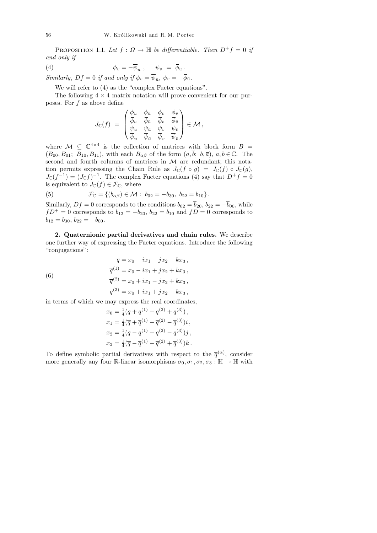PROPOSITION 1.1. Let  $f : \Omega \to \mathbb{H}$  be differentiable. Then  $D^+f = 0$  if and only if

(4) 
$$
\phi_v = -\overline{\psi}_u , \quad \psi_v = \overline{\phi}_u .
$$

Similarly,  $Df = 0$  if and only if  $\phi_v = \psi_{\bar{u}}, \psi_v = -\phi_{\bar{u}}.$ 

We will refer to  $(4)$  as the "complex Fueter equations".

The following  $4 \times 4$  matrix notation will prove convenient for our purposes. For f as above define

$$
J_{\mathbb{C}}(f) \;=\; \begin{pmatrix} \frac{\phi_u}{\phi_u} & \frac{\phi_{\bar{u}}}{\phi_{\bar{u}}} & \frac{\phi_v}{\phi_v} & \frac{\phi_{\bar{v}}}{\phi_{\bar{v}}} \\ \frac{\psi_u}{\psi_u} & \frac{\psi_{\bar{u}}}{\psi_{\bar{u}}} & \frac{\psi_v}{\psi_v} & \frac{\psi_{\bar{v}}}{\psi_{\bar{v}}} \end{pmatrix} \in \mathcal{M}\,,
$$

where  $\mathcal{M} \subseteq \mathbb{C}^{4\times 4}$  is the collection of matrices with block form  $B =$  $(B_{00}, B_{01}; B_{10}, B_{11}),$  with each  $B_{\alpha\beta}$  of the form  $(a, \overline{b}; b, \overline{a}), a, b \in \mathbb{C}$ . The second and fourth columns of matrices in  $M$  are redundant; this notation permits expressing the Chain Rule as  $J_{\mathbb{C}}(f \circ g) = J_{\mathbb{C}}(f) \circ J_{\mathbb{C}}(g)$ ,  $J_{\mathbb{C}}(f^{-1}) = (J_{\mathbb{C}}f)^{-1}$ . The complex Fueter equations (4) say that  $D^+f = 0$ is equivalent to  $J_{\mathbb{C}}(f) \in \mathcal{F}_{\mathbb{C}}$ , where

(5) 
$$
\mathcal{F}_{\mathbb{C}} = \{ (b_{\alpha\beta}) \in \mathcal{M} : b_{02} = -b_{30}, b_{22} = b_{10} \}.
$$

Similarly,  $Df = 0$  corresponds to the conditions  $b_{02} = \overline{b}_{20}$ ,  $b_{22} = -\overline{b}_{00}$ , while  $fD^+ = 0$  corresponds to  $b_{12} = -\overline{b}_{20}$ ,  $b_{22} = \overline{b}_{10}$  and  $fD = 0$  corresponds to  $b_{12} = b_{30}, b_{22} = -b_{00}.$ 

2. Quaternionic partial derivatives and chain rules. We describe one further way of expressing the Fueter equations. Introduce the following "conjugations":

(6) 
$$
\overline{q} = x_0 - ix_1 - jx_2 - kx_3,
$$

$$
\overline{q}^{(1)} = x_0 - ix_1 + jx_2 + kx_3,
$$

$$
\overline{q}^{(2)} = x_0 + ix_1 - jx_2 + kx_3,
$$

$$
\overline{q}^{(3)} = x_0 + ix_1 + jx_2 - kx_3,
$$

in terms of which we may express the real coordinates,

$$
x_0 = \frac{1}{4}(\overline{q} + \overline{q}^{(1)} + \overline{q}^{(2)} + \overline{q}^{(3)}),
$$
  
\n
$$
x_1 = \frac{1}{4}(\overline{q} + \overline{q}^{(1)} - \overline{q}^{(2)} - \overline{q}^{(3)})i,
$$
  
\n
$$
x_2 = \frac{1}{4}(\overline{q} - \overline{q}^{(1)} + \overline{q}^{(2)} - \overline{q}^{(3)})j,
$$
  
\n
$$
x_3 = \frac{1}{4}(\overline{q} - \overline{q}^{(1)} - \overline{q}^{(2)} + \overline{q}^{(3)})k.
$$

To define symbolic partial derivatives with respect to the  $\bar{q}^{(\alpha)}$ , consider more generally any four R-linear isomorphisms  $\sigma_0, \sigma_1, \sigma_2, \sigma_3 : \mathbb{H} \to \mathbb{H}$  with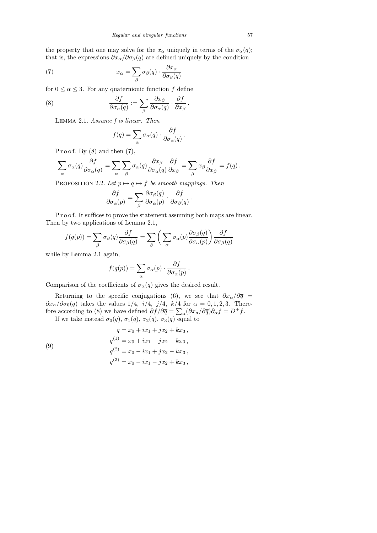the property that one may solve for the  $x_{\alpha}$  uniquely in terms of the  $\sigma_{\alpha}(q)$ ; that is, the expressions  $\partial x_{\alpha}/\partial \sigma_{\beta}(q)$  are defined uniquely by the condition

(7) 
$$
x_{\alpha} = \sum_{\beta} \sigma_{\beta}(q) \cdot \frac{\partial x_{\alpha}}{\partial \sigma_{\beta}(q)}
$$

for  $0 \le \alpha \le 3$ . For any quaternionic function f define

(8) 
$$
\frac{\partial f}{\partial \sigma_{\alpha}(q)} := \sum_{\beta} \frac{\partial x_{\beta}}{\partial \sigma_{\alpha}(q)} \cdot \frac{\partial f}{\partial x_{\beta}}
$$

Lemma 2.1. Assume f is linear. Then

$$
f(q) = \sum_{\alpha} \sigma_{\alpha}(q) \cdot \frac{\partial f}{\partial \sigma_{\alpha}(q)}.
$$

.

Proof. By  $(8)$  and then  $(7)$ ,

$$
\sum_{\alpha} \sigma_{\alpha}(q) \frac{\partial f}{\partial \sigma_{\alpha}(q)} = \sum_{\alpha} \sum_{\beta} \sigma_{\alpha}(q) \frac{\partial x_{\beta}}{\partial \sigma_{\alpha}(q)} \frac{\partial f}{\partial x_{\beta}} = \sum_{\beta} x_{\beta} \frac{\partial f}{\partial x_{\beta}} = f(q).
$$

PROPOSITION 2.2. Let  $p \mapsto q \mapsto f$  be smooth mappings. Then

$$
\frac{\partial f}{\partial \sigma_{\alpha}(p)} = \sum_{\beta} \frac{\partial \sigma_{\beta}(q)}{\partial \sigma_{\alpha}(p)} \cdot \frac{\partial f}{\partial \sigma_{\beta}(q)}.
$$

P r o o f. It suffices to prove the statement assuming both maps are linear. Then by two applications of Lemma 2.1,

$$
f(q(p)) = \sum_{\beta} \sigma_{\beta}(q) \frac{\partial f}{\partial \sigma_{\beta}(q)} = \sum_{\beta} \left( \sum_{\alpha} \sigma_{\alpha}(p) \frac{\partial \sigma_{\beta}(q)}{\partial \sigma_{\alpha}(p)} \right) \frac{\partial f}{\partial \sigma_{\beta}(q)}
$$

while by Lemma 2.1 again,

$$
f(q(p)) = \sum_{\alpha} \sigma_{\alpha}(p) \cdot \frac{\partial f}{\partial \sigma_{\alpha}(p)}.
$$

Comparison of the coefficients of  $\sigma_{\alpha}(q)$  gives the desired result.

Returning to the specific conjugations (6), we see that  $\partial x_{\alpha}/\partial \overline{q}$  $\partial x_{\alpha}/\partial \sigma_0(q)$  takes the values 1/4,  $i/4$ ,  $j/4$ ,  $k/4$  for  $\alpha = 0, 1, 2, 3$ . Therefore according to (8) we have defined  $\partial f / \partial \overline{q} = \sum_{\alpha} (\partial x_a / \partial \overline{q}) \partial_{\alpha} f = D^+ f$ .

If we take instead  $\sigma_0(q)$ ,  $\sigma_1(q)$ ,  $\sigma_2(q)$ ,  $\sigma_3(q)$  equal to

(9)  $q = x_0 + ix_1 + jx_2 + kx_3,$  $q^{(1)} = x_0 + ix_1 - jx_2 - kx_3$ ,  $q^{(2)} = x_0 - ix_1 + jx_2 - kx_3,$  $q^{(3)} = x_0 - ix_1 - jx_2 + kx_3,$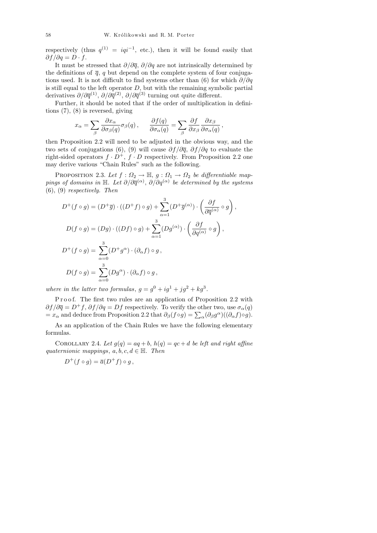respectively (thus  $q^{(1)} = iq^{i-1}$ , etc.), then it will be found easily that  $\partial f / \partial q = D \cdot f$ .

It must be stressed that  $\partial/\partial \overline{q}$ ,  $\partial/\partial q$  are not intrinsically determined by the definitions of  $\overline{q}$ , q but depend on the complete system of four conjugations used. It is not difficult to find systems other than (6) for which  $\partial/\partial q$ is still equal to the left operator  $D$ , but with the remaining symbolic partial derivatives  $\partial/\partial \overline{q}^{(1)}, \partial/\partial \overline{q}^{(2)}, \partial/\partial \overline{q}^{(3)}$  turning out quite different.

Further, it should be noted that if the order of multiplication in definitions (7), (8) is reversed, giving

$$
x_{\alpha} = \sum_{\beta} \frac{\partial x_{\alpha}}{\partial \sigma_{\beta}(q)} \sigma_{\beta}(q) , \quad \frac{\partial f(q)}{\partial \sigma_{\alpha}(q)} = \sum_{\beta} \frac{\partial f}{\partial x_{\beta}} \frac{\partial x_{\beta}}{\partial \sigma_{\alpha}(q)} ,
$$

then Proposition 2.2 will need to be adjusted in the obvious way, and the two sets of conjugations (6), (9) will cause  $\partial f/\partial \overline{q}$ ,  $\partial f/\partial q$  to evaluate the right-sided operators  $f \cdot D^+$ ,  $f \cdot D$  respectively. From Proposition 2.2 one may derive various "Chain Rules" such as the following.

PROPOSITION 2.3. Let  $f: \Omega_2 \to \mathbb{H}$ ,  $g: \Omega_1 \to \Omega_2$  be differentiable mappings of domains in  $\mathbb H$ . Let  $\partial/\partial \overline q^{(\alpha)}$ ,  $\partial/\partial q^{(\alpha)}$  be determined by the systems  $(6)$ ,  $(9)$  respectively. Then

$$
D^+(f \circ g) = (D^+\overline{g}) \cdot ((D^+f) \circ g) + \sum_{\alpha=1}^3 (D^+\overline{g}^{(\alpha)}) \cdot \left(\frac{\partial f}{\partial \overline{q}^{(\alpha)}} \circ g\right),
$$
  

$$
D(f \circ g) = (Dg) \cdot ((Df) \circ g) + \sum_{\alpha=1}^3 (Dg^{(\alpha)}) \cdot \left(\frac{\partial f}{\partial q^{(\alpha)}} \circ g\right),
$$
  

$$
D^+(f \circ g) = \sum_{\alpha=0}^3 (D^+g^{\alpha}) \cdot (\partial_{\alpha} f) \circ g,
$$
  

$$
D(f \circ g) = \sum_{\alpha=0}^3 (Dg^{\alpha}) \cdot (\partial_{\alpha} f) \circ g,
$$

where in the latter two formulas,  $g = g^0 + ig^1 + jg^2 + kg^3$ .

P r o o f. The first two rules are an application of Proposition 2.2 with  $\partial f/\partial \overline{q} = D^+f$ ,  $\partial f/\partial q = Df$  respectively. To verify the other two, use  $\sigma_\alpha(q)$  $= x_\alpha$  and deduce from Proposition 2.2 that  $\partial_\beta(f \circ g) = \sum_\alpha (\partial_\beta g^\alpha)((\partial_\alpha f) \circ g)$ .

As an application of the Chain Rules we have the following elementary formulas.

COROLLARY 2.4. Let  $g(q) = aq + b$ ,  $h(q) = qc + d$  be left and right affine quaternionic mappings,  $a, b, c, d \in \mathbb{H}$ . Then

$$
D^+(f \circ g) = \overline{a}(D^+f) \circ g,
$$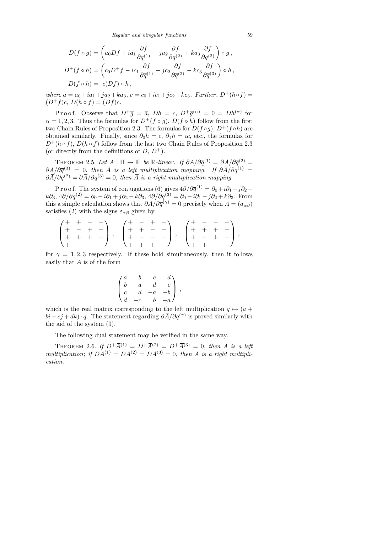$$
D(f \circ g) = \left(a_0 Df + ia_1 \frac{\partial f}{\partial q^{(1)}} + ja_2 \frac{\partial f}{\partial q^{(2)}} + ka_3 \frac{\partial f}{\partial q^{(3)}}\right) \circ g,
$$
  
\n
$$
D^+(f \circ h) = \left(c_0 D^+ f - ic_1 \frac{\partial f}{\partial \overline{q}^{(1)}} - jc_2 \frac{\partial f}{\partial \overline{q}^{(2)}} - kc_3 \frac{\partial f}{\partial \overline{q}^{(3)}}\right) \circ h,
$$
  
\n
$$
D(f \circ h) = c(Df) \circ h,
$$

where  $a = a_0 + ia_1 + ja_2 + ka_3$ ,  $c = c_0 + ic_1 + jc_2 + kc_3$ . Further,  $D^+(h \circ f) =$  $(D^+f)c, D(h \circ f) = (Df)c.$ 

Proof. Observe that  $D^+\overline{g} = \overline{a}$ ,  $Dh = c$ ,  $D^+\overline{g}^{(\alpha)} = 0 = Dh^{(\alpha)}$  for  $\alpha = 1, 2, 3$ . Thus the formulas for  $D^+(f \circ g)$ ,  $D(f \circ h)$  follow from the first two Chain Rules of Proposition 2.3. The formulas for  $D(f \circ g)$ ,  $D^+(f \circ h)$  are obtained similarly. Finally, since  $\partial_0 h = c$ ,  $\partial_1 h = ic$ , etc., the formulas for  $D^+(h \circ f)$ ,  $D(h \circ f)$  follow from the last two Chain Rules of Proposition 2.3 (or directly from the definitions of  $D, D^+$ ).

THEOREM 2.5. Let  $A : \mathbb{H} \to \mathbb{H}$  be R-linear. If  $\partial A/\partial \overline{q}^{(1)} = \partial A/\partial \overline{q}^{(2)} =$  $\partial A/\partial \overline{q}^{(3)} = 0$ , then  $\overline{A}$  is a left multiplication mapping. If  $\partial \overline{A}/\partial q^{(1)} = 0$  $\partial \overline{A}/\partial q^{(2)} = \partial \overline{A}/\partial q^{(3)} = 0$ , then  $\overline{A}$  is a right multiplication mapping.

P r o o f. The system of conjugations (6) gives  $4\partial/\partial \overline{q}^{(1)} = \partial_0 + i\partial_1 - j\partial_2 - j\partial_1$  $k\partial_3$ ,  $4\partial/\partial \overline{q}^{(2)} = \partial_0 - i\partial_1 + j\partial_2 - k\partial_3$ ,  $4\partial/\partial \overline{q}^{(3)} = \partial_0 - i\partial_1 - j\partial_2 + k\partial_3$ . From this a simple calculation shows that  $\partial A/\partial \overline{q}^{(\gamma)} = 0$  precisely when  $A = (a_{\alpha\beta})$ satisfies (2) with the signs  $\varepsilon_{\alpha\beta}$  given by

$$
\begin{pmatrix} + & + & - & - \\ + & - & + & - \\ + & + & + & + \\ + & - & - & + \end{pmatrix}, \quad \begin{pmatrix} + & - & + & - \\ + & + & - & - \\ + & - & - & + \\ + & + & + & + \end{pmatrix}, \quad \begin{pmatrix} + & - & - & + \\ + & + & + & + \\ + & - & + & - \end{pmatrix},
$$

for  $\gamma = 1, 2, 3$  respectively. If these hold simultaneously, then it follows easily that A is of the form

$$
\begin{pmatrix} a & b & c & d \\ b & -a & -d & c \\ c & d & -a & -b \\ d & -c & b & -a \end{pmatrix},
$$

which is the real matrix corresponding to the left multiplication  $q \mapsto (a +$  $bi + cj + dk$ )  $\cdot q$ . The statement regarding  $\partial \overline{A}/\partial q^{(\gamma)}$  is proved similarly with the aid of the system (9).

The following dual statement may be verified in the same way.

THEOREM 2.6. If  $D^+ \overline{A}^{(1)} = D^+ \overline{A}^{(2)} = D^+ \overline{A}^{(3)} = 0$ , then A is a left multiplication; if  $DA^{(1)} = DA^{(2)} = DA^{(3)} = 0$ , then A is a right multiplication.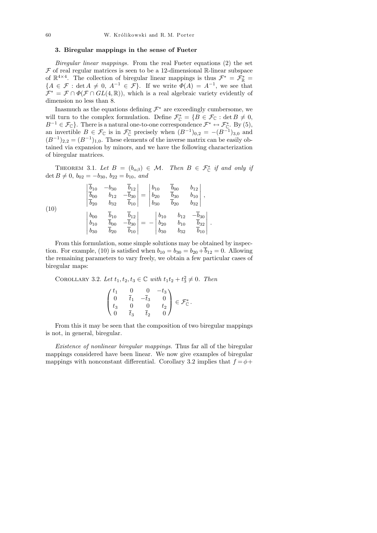## 3. Biregular mappings in the sense of Fueter

Biregular linear mappings. From the real Fueter equations (2) the set  $F$  of real regular matrices is seen to be a 12-dimensional R-linear subspace of  $\mathbb{R}^{4\times4}$ . The collection of biregular linear mappings is thus  $\mathcal{F}^* = \mathcal{F}_{\mathbb{R}}^* =$  ${A \in \mathcal{F} : \det A \neq 0, A^{-1} \in \mathcal{F}}$ . If we write  $\Phi(A) = A^{-1}$ , we see that  $\mathcal{F}^* = \mathcal{F} \cap \Phi(\mathcal{F} \cap GL(4,\mathbb{R}))$ , which is a real algebraic variety evidently of dimension no less than 8.

Inasmuch as the equations defining  $\mathcal{F}^*$  are exceedingly cumbersome, we will turn to the complex formulation. Define  $\mathcal{F}_{\mathbb{C}}^* = \{B \in \mathcal{F}_{\mathbb{C}} : \det B \neq 0, \exists \mathbb{C} \}$  $B^{-1} \in \mathcal{F}_{\mathbb{C}}$ . There is a natural one-to-one correspondence  $\mathcal{F}^* \leftrightarrow \mathcal{F}_{\mathbb{C}}^*$ . By (5), an invertible  $B \in \mathcal{F}_{\mathbb{C}}$  is in  $\mathcal{F}_{\mathbb{C}}^*$  precisely when  $(B^{-1})_{0,2} = -(B^{-1})_{3,0}$  and  $(B^{-1})_{2,2} = (B^{-1})_{1,0}$ . These elements of the inverse matrix can be easily obtained via expansion by minors, and we have the following characterization of biregular matrices.

THEOREM 3.1. Let  $B = (b_{\alpha\beta}) \in \mathcal{M}$ . Then  $B \in \mathcal{F}_{\mathbb{C}}^*$  if and only if det  $B \neq 0$ ,  $b_{02} = -b_{30}$ ,  $b_{22} = b_{10}$ , and

(10)  
\n
$$
\begin{vmatrix}\n\overline{b}_{10} & -b_{30} & \overline{b}_{12} \\
\overline{b}_{00} & b_{12} & -\overline{b}_{30} \\
\overline{b}_{20} & b_{32} & \overline{b}_{10}\n\end{vmatrix} = \begin{vmatrix}\nb_{10} & \overline{b}_{00} & b_{12} \\
b_{20} & \overline{b}_{30} & b_{10} \\
b_{30} & \overline{b}_{20} & b_{32}\n\end{vmatrix},
$$
\n
$$
\begin{vmatrix}\nb_{00} & \overline{b}_{10} & \overline{b}_{12} \\
b_{10} & \overline{b}_{00} & -\overline{b}_{30} \\
b_{30} & \overline{b}_{20} & \overline{b}_{10}\n\end{vmatrix} = - \begin{vmatrix}\nb_{10} & b_{12} & -\overline{b}_{30} \\
b_{20} & b_{10} & \overline{b}_{32} \\
b_{30} & b_{32} & \overline{b}_{10}\n\end{vmatrix}
$$

From this formulation, some simple solutions may be obtained by inspection. For example, (10) is satisfied when  $b_{10} = b_{30} = b_{20} + \overline{b}_{12} = 0$ . Allowing the remaining parameters to vary freely, we obtain a few particular cases of biregular maps:

 $\bigg\}$  $\bigg\}$  $\Big\}$  $\bigg\}$  $\Big\}$  $\begin{array}{c} \end{array}$ .

COROLLARY 3.2. Let  $t_1, t_2, t_3 \in \mathbb{C}$  with  $t_1t_2 + t_3^2 \neq 0$ . Then

$$
\begin{pmatrix} t_1 & 0 & 0 & -t_3 \ 0 & \overline{t}_1 & -\overline{t}_3 & 0 \ t_3 & 0 & 0 & t_2 \ 0 & \overline{t}_3 & \overline{t}_2 & 0 \end{pmatrix} \in \mathcal{F}_{\mathbb{C}}^*.
$$

From this it may be seen that the composition of two biregular mappings is not, in general, biregular.

Existence of nonlinear biregular mappings. Thus far all of the biregular mappings considered have been linear. We now give examples of biregular mappings with nonconstant differential. Corollary 3.2 implies that  $f = \phi +$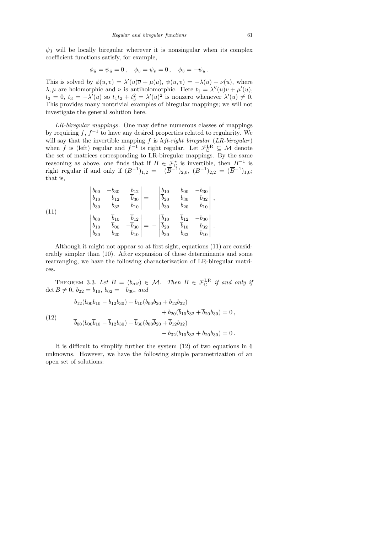$\psi$ *j* will be locally biregular wherever it is nonsingular when its complex coefficient functions satisfy, for example,

$$
\phi_{\bar{u}} = \psi_{\bar{u}} = 0 \,, \quad \phi_v = \psi_v = 0 \,, \quad \phi_{\bar{v}} = -\psi_u \,.
$$

This is solved by  $\phi(u, v) = \lambda'(u)\overline{v} + \mu(u), \ \psi(u, v) = -\lambda(u) + \nu(u),$  where  $\lambda, \mu$  are holomorphic and  $\nu$  is antiholomorphic. Here  $t_1 = \lambda''(u)\overline{v} + \mu'(u)$ ,  $t_2 = 0, t_3 = -\lambda'(u)$  so  $t_1t_2 + t_3^2 = \lambda'(u)^2$  is nonzero whenever  $\lambda'(u) \neq 0$ . This provides many nontrivial examples of biregular mappings; we will not investigate the general solution here.

LR-biregular mappings. One may define numerous classes of mappings by requiring  $f, f^{-1}$  to have any desired properties related to regularity. We will say that the invertible mapping  $f$  is *left-right biregular* ( $LR$ -biregular) when f is (left) regular and  $f^{-1}$  is right regular. Let  $\mathcal{F}_{\mathbb{C}}^{\text{LR}} \subseteq \mathcal{M}$  denote the set of matrices corresponding to LR-biregular mappings. By the same reasoning as above, one finds that if  $B \in \mathcal{F}_{\mathbb{C}}^*$  is invertible, then  $B^{-1}$  is right regular if and only if  $(B^{-1})_{1,2} = -(\overline{B}^{-1})_{2,0}, (B^{-1})_{2,2} = (\overline{B}^{-1})_{1,0};$ that is,

(11)  

$$
\begin{vmatrix} b_{00} & -b_{30} & \overline{b}_{12} \\ b_{10} & b_{12} & -\overline{b}_{30} \\ b_{30} & b_{32} & \overline{b}_{10} \end{vmatrix} = - \begin{vmatrix} \overline{b}_{10} & b_{00} & -b_{30} \\ \overline{b}_{20} & b_{30} & b_{32} \\ \overline{b}_{30} & b_{20} & b_{10} \end{vmatrix},
$$

$$
\begin{vmatrix} b_{00} & \overline{b}_{10} & \overline{b}_{12} \\ b_{10} & \overline{b}_{00} & -\overline{b}_{30} \\ b_{30} & \overline{b}_{20} & \overline{b}_{10} \end{vmatrix} = - \begin{vmatrix} \overline{b}_{10} & \overline{b}_{12} & -b_{30} \\ \overline{b}_{20} & \overline{b}_{10} & b_{32} \\ \overline{b}_{30} & \overline{b}_{32} & b_{10} \end{vmatrix}.
$$

Although it might not appear so at first sight, equations (11) are considerably simpler than (10). After expansion of these determinants and some rearranging, we have the following characterization of LR-biregular matrices.

THEOREM 3.3. Let  $B = (b_{\alpha\beta}) \in \mathcal{M}$ . Then  $B \in \mathcal{F}_{\mathbb{C}}^{\mathbb{L}\mathbb{R}}$  if and only if det  $B \neq 0$ ,  $b_{22} = b_{10}$ ,  $b_{02} = -b_{30}$ , and

(12)  
\n
$$
\bar{b}_{12}(b_{00}\bar{b}_{10} - \bar{b}_{12}b_{30}) + b_{10}(b_{00}\bar{b}_{20} + \bar{b}_{12}b_{32}) + b_{20}(\bar{b}_{10}b_{32} + \bar{b}_{20}b_{30}) = 0,
$$
\n
$$
\bar{b}_{00}(b_{00}\bar{b}_{10} - \bar{b}_{12}b_{30}) + \bar{b}_{30}(b_{00}\bar{b}_{20} + \bar{b}_{12}b_{32}) - \bar{b}_{32}(\bar{b}_{10}b_{32} + \bar{b}_{20}b_{30}) = 0.
$$

It is difficult to simplify further the system (12) of two equations in 6 unknowns. However, we have the following simple parametrization of an open set of solutions: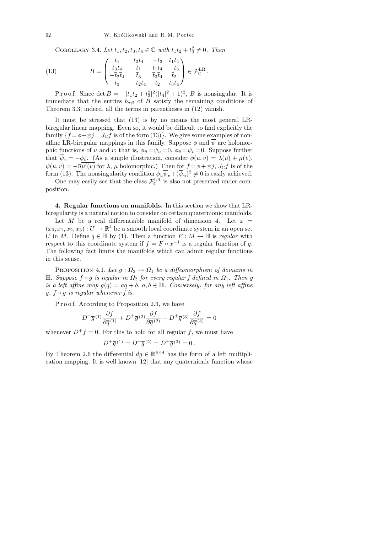COROLLARY 3.4. Let  $t_1, t_2, t_3, t_4 \in \mathbb{C}$  with  $t_1t_2 + t_3^2 \neq 0$ . Then

(13) 
$$
B = \begin{pmatrix} t_1 & t_3t_4 & -t_3 & t_1t_4 \ \overline{t}_3\overline{t}_4 & \overline{t}_1 & \overline{t}_1\overline{t}_4 & -\overline{t}_3 \ -\overline{t}_2\overline{t}_4 & \overline{t}_3 & \overline{t}_3\overline{t}_4 & \overline{t}_2 \ t_3 & -t_2t_4 & t_2 & t_3t_4 \end{pmatrix} \in \mathcal{F}_{\mathbb{C}}^{\mathbb{L}\mathbb{R}}.
$$

P r o o f. Since  $\det B = -|t_1t_2 + t_3^2|^2(|t_4|^2 + 1)^2$ , B is nonsingular. It is immediate that the entries  $b_{\alpha\beta}$  of B satisfy the remaining conditions of Theorem 3.3; indeed, all the terms in parentheses in (12) vanish.

It must be stressed that (13) is by no means the most general LRbiregular linear mapping. Even so, it would be difficult to find explicitly the family  $\{f = \phi + \psi j : J_{\mathbb{C}}f$  is of the form (13). We give some examples of nonaffine LR-biregular mappings in this family. Suppose  $\phi$  and  $\overline{\psi}$  are holomorphic functions of u and v; that is,  $\phi_{\bar{u}} = \psi_u = 0$ ,  $\phi_{\bar{v}} = \psi_v = 0$ . Suppose further that  $\overline{\psi}_u = -\phi_v$ . (As a simple illustration, consider  $\phi(u, v) = \lambda(u) + \mu(v)$ ,  $\psi(u,v) = -\overline{u}\overline{\mu'(v)}$  for  $\lambda, \mu$  holomorphic.) Then for  $f = \phi + \psi j$ ,  $J_{\mathbb{C}}f$  is of the form (13). The nonsingularity condition  $\phi_u \overline{\psi}_v + (\overline{\psi}_u)^2 \neq 0$  is easily achieved.

One may easily see that the class  $\mathcal{F}_{\mathbb{C}}^{\mathbb{L}\mathbb{R}}$  is also not preserved under composition.

4. Regular functions on manifolds. In this section we show that LRbiregularity is a natural notion to consider on certain quaternionic manifolds.

Let  $M$  be a real differentiable manifold of dimension 4. Let  $x =$  $(x_0, x_1, x_2, x_3) : U \to \mathbb{R}^4$  be a smooth local coordinate system in an open set U in M. Define  $q \in \mathbb{H}$  by (1). Then a function  $F : M \to \mathbb{H}$  is regular with respect to this coordinate system if  $f = F \circ x^{-1}$  is a regular function of q. The following fact limits the manifolds which can admit regular functions in this sense.

PROPOSITION 4.1. Let  $g : \Omega_2 \to \Omega_1$  be a diffeomorphism of domains in H. Suppose f  $\circ$  g is regular in  $\Omega_2$  for every regular f defined in  $\Omega_1$ . Then g is a left affine map  $g(q) = aq + b, a, b \in \mathbb{H}$ . Conversely, for any left affine  $g, f \circ g$  is regular whenever f is.

P r o o f. According to Proposition 2.3, we have

$$
D^{+}\overline{g}{}^{(1)}\frac{\partial f}{\partial \overline{q}{}^{(1)}}+D^{+}\overline{g}{}^{(2)}\frac{\partial f}{\partial \overline{q}{}^{(2)}}+D^{+}\overline{g}{}^{(3)}\frac{\partial f}{\partial \overline{q}{}^{(3)}}=0
$$

whenever  $D^+f = 0$ . For this to hold for all regular f, we must have

$$
D^{+}\overline{g}{}^{(1)}=D^{+}\overline{g}{}^{(2)}=D^{+}\overline{g}{}^{(3)}=0\,.
$$

By Theorem 2.6 the differential  $dg \in \mathbb{R}^{4 \times 4}$  has the form of a left multiplication mapping. It is well known [12] that any quaternionic function whose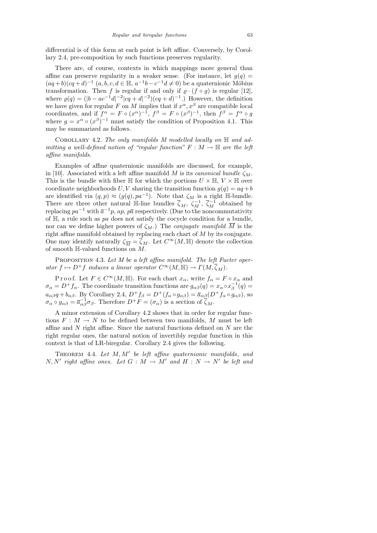differential is of this form at each point is left affine. Conversely, by Corollary 2.4, pre-composition by such functions preserves regularity.

There are, of course, contexts in which mappings more general than affine can preserve regularity in a weaker sense. (For instance, let  $g(q)$  =  $(aq+b)(cq+d)^{-1}$   $(a, b, c, d \in \mathbb{H}, a^{-1}b-c^{-1}d \neq 0)$  be a quaternionic Möbius transformation. Then f is regular if and only if  $\rho \cdot (f \circ g)$  is regular [12], where  $\varrho(q) = (|b - ac^{-1}d|^{-2}|cq + d|^{-2})(cq + d)^{-1}$ .) However, the definition we have given for regular F on M implies that if  $x^{\alpha}, x^{\beta}$  are compatible local coordinates, and if  $f^{\alpha} = F \circ (x^{\alpha})^{-1}$ ,  $f^{\beta} = F \circ (x^{\beta})^{-1}$ , then  $f^{\beta} = f^{\alpha} \circ g$ where  $g = x^{\alpha} \circ (x^{\beta})^{-1}$  must satisfy the condition of Proposition 4.1. This may be summarized as follows.

COROLLARY 4.2. The only manifolds M modelled locally on  $\mathbb H$  and admitting a well-defined notion of "regular function"  $F : M \to \mathbb{H}$  are the left affine manifolds.

Examples of affine quaternionic manifolds are discussed, for example, in [10]. Associated with a left affine manifold M is its *canonical bundle*  $\zeta_M$ . This is the bundle with fiber H for which the portions  $U \times \mathbb{H}$ ,  $V \times \mathbb{H}$  over coordinate neighborhoods U, V sharing the transition function  $g(q) = aq + b$ are identified via  $(q, p) \approx (g(q), pa^{-1})$ . Note that  $\zeta_M$  is a right H-bundle. There are three other natural H-line bundles  $\overline{\zeta}_M$ ,  $\zeta_M^{-1}$ ,  $\overline{\zeta}_M^{-1}$  obtained by replacing  $pa^{-1}$  with  $\bar{a}^{-1}p$ ,  $ap$ ,  $p\bar{a}$  respectively. (Due to the noncommutativity of  $H$ , a rule such as pa does not satisfy the cocycle condition for a bundle, nor can we define higher powers of  $\zeta_M$ .) The *conjugate manifold*  $\overline{M}$  is the right affine manifold obtained by replacing each chart of M by its conjugate. One may identify naturally  $\zeta_{\overline{M}} = \overline{\zeta}_M$ . Let  $C^{\infty}(M, \mathbb{H})$  denote the collection of smooth  $\mathbb{H}$ -valued functions on  $\overline{M}$ .

PROPOSITION 4.3. Let M be a left affine manifold. The left Fueter operator  $f \mapsto D^+f$  induces a linear operator  $C^{\infty}(M, \mathbb{H}) \to \Gamma(M, \overline{\zeta}_M)$ .

P r o o f. Let  $F \in C^{\infty}(M, \mathbb{H})$ . For each chart  $x_{\alpha}$ , write  $f_{\alpha} = F \circ x_{\alpha}$  and  $\sigma_{\alpha} = D^+ f_{\alpha}$ . The coordinate transition functions are  $g_{\alpha\beta}(q) = x_{\alpha} \circ x_{\beta}^{-1}(q) =$  $a_{\alpha\beta}q + b_{\alpha\beta}$ . By Corollary 2.4,  $D^+f_{\beta} = D^+(f_{\alpha} \circ g_{\alpha\beta}) = \overline{a}_{\alpha\beta}(D^+f_{\alpha} \circ g_{\alpha\beta})$ , so  $\sigma_{\alpha} \circ g_{\alpha\beta} = \overline{a}_{\alpha\beta}^{-1} \sigma_{\beta}$ . Therefore  $D^+F = (\sigma_{\alpha})$  is a section of  $\overline{\zeta}_M$ .

A minor extension of Corollary 4.2 shows that in order for regular functions  $F : M \to N$  to be defined between two manifolds, M must be left affine and N right affine. Since the natural functions defined on N are the right regular ones, the natural notion of invertibly regular function in this context is that of LR-biregular. Corollary 2.4 gives the following.

THEOREM 4.4. Let  $M, M'$  be left affine quaternionic manifolds, and  $N, N'$  right affine ones. Let  $G : M \to M'$  and  $H : N \to N'$  be left and